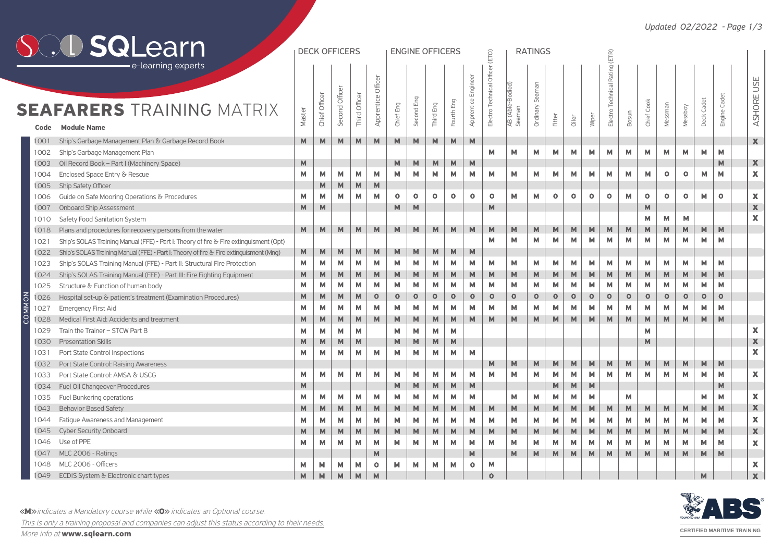## **SO. D SQLearn** DECK OFFICERS  $\begin{bmatrix} \text{ENGINE OFFICERS} \\ \text{ENGINE OFFICERS} \end{bmatrix}$  RATINGS (ETR) Electro Technical Officer (ETO) Electro Technical Rating (ETR) e-learning experts Officer Electro Technical Rating Officer Apprentice Engineer Apprentice Engineer Apprentice Officer USE ASHORE USESeaman Technical AB (Able-Bodied) Ordinary Seaman Second Officer Second Officer Third Officer Chief Officer Engine Cadet Engine Cadet SHORE<sub>I</sub> Apprentice Second Eng Deck Cadet Fourth Eng Chief Cook Chief Eng Third Eng **SEAFARERS** TRAINING MATRIX Messman AB (Able-<br>Seaman Ordinary Messboy Master Electro T Bosun Wiper Fitter Oiler  $\vec{\mathcal{A}}$ **Code Module Name**  $\mathbf{x}$ 1001 Ship's Garbage Management Plan & Garbage Record Book  $\mathbb M$ M M  $M$  $M$  $\mathbb M$  $\mathbb M$  $M$  $M$  $\mathbb M$ 1002 Ship's Garbage Management Plan  $\overline{M}$  $\mathbf{M}$  $\mathbf{M}$  $\overline{M}$ M M M M M M M M M  $M$  $M$  $\mathbb X$ 1003 Oil Record Book – Part I (Machinery Space)  $M$  $M$  $M$ M M  $M$  $\overline{\mathsf{M}}$  $\mathbf{M}$  $\mathbf x$ 1004 Enclosed Space Entry & Rescue  $M$ M M M  $M$  $M$ M M  $M$  $M$ M  $M$ M  $M$ M M  $\circ$  $\Omega$ M M  $\mathsf{M}$  $M$  $M$  $M$ 1005 Ship Safety Officer 1006 Guide on Safe Mooring Operations & Procedures  $M$ M M  $M$ M  $\circ$  $\circ$  $\circ$  $\circ$  $\circ$  $\circ$  $M$ M  $\circ$  $\circ$  $\circ$  $\circ$ M  $\circ$  $\circ$  $\circ$ M  $\circ$  $\mathbf x$  $\mathbf x$ 1007 Onboard Ship Assessment  $M$ M  $M$  $M$  $M$  $M$ M  $\mathbf x$ M M 1010 Safety Food Sanitation System  $\mathbb M$  $M$  $M$  $M$  $M$  $M$  $M$  $\mathbb M$  $M$  $\mathbb M$  $\mathbb M$  $\mathbb M$  $\mathbb M$  $M$  $M$ M  $M$  $\mathbb M$  $M$ M  $M$  $M$  $M$ 1018 Plans and procedures for recovery persons from the water M M M M  $M$ M M M M M M M M 1021 Ship's SOLAS Training Manual (FFE) - Part I: Theory of fire & Fire extinguisment (Opt) M  $M$ M  $M$ 1022 Ship's SOLAS Training Manual (FFE) - Part I: Theory of fire & Fire extinguisment (Mng)  $M$ M  $M$ M M M 1023 Ship's SOLAS Training Manual (FFE) - Part II: Structural Fire Protection M M M M M  $M$  $M$ M M M M  $M$ M M M M M M M M M M M  $\mathbb M$ M M  $M$  $M$  $M$  $M$  $\mathsf{M}$ M  $M$  $M$  $M$  $M$  $M$  $M$ M  $M$  $M$  $M$ M  $M$ M  $M$ 1024 Ship's SOLAS Training Manual (FFE) - Part IΙI: Fire Fighting Equipment  $M$ M M M  $M$ M M M  $M$ M M M M  $M$ M M M M M M M M 1025 Structure & Function of human body M  $\mathbb M$  $\mathbb{M}$  $M$  $\mathbb M$  $\circ$  $\circ$  $\circ$  $\circ$  $\circ$  $\circ$  $\Omega$  $\circ$  $\circ$  $\circ$  $\Omega$  $\circ$  $\circ$  $\circ$  $\circ$  $\circ$  $\circ$  $\circ$  $\circ$ COMMON 1026 Hospital set-up & patient's treatment (Examination Procedures)  $\overline{\mathsf{M}}$  $\overline{M}$ M 1027 Emergency First Aid M M M M M M M M M M M M M M M M M M M M 1028 Medical First Aid: Accidents and treatment  $M$ M  $M$  $M$  $M$  $M$  $M$  $\mathbb{M}$  $\mathbb M$  $M$  $M$  $M$  $M$ M  $M$ M  $M$  $M$  $M$ M M M  $M$  $\boldsymbol{\mathsf{x}}$ 1029 Train the Trainer – STCW Part B  $M$ M M  $M$ M M M M M 1030 Presentation Skills M M M  $M$ M M M M M  $\boldsymbol{\mathsf{X}}$  $M$  $\mathbf x$ 1031 Port State Control Inspections M M M  $M$  $M$ M M M M 1032 Port State Control: Raising Awareness M  $M$  $M$  $M$ M M M M M M  $M$ M  $M$ M M M M M M M M M M M M  $\mathbf{M}$ M M M M M M M M  $\mathsf{M}$ M  $\mathbf x$ 1033 Port State Control: AMSA & USCG  $\mathbb M$  $M$ M M M  $M$  $M$  $M$  $M$ M 1034 Fuel Oil Changeover Procedures  $M$ M M  $M$  $M$  $M$  $M$ M M  $M$ M  $M$ M  $M$ M M M M  $\mathbf x$ 1035 Fuel Bunkering operations  $M$ M  $\mathsf{M}$  $M$  $M$  $M$ M M  $M$  $M$  $M$  $M$  $M$  $M$  $M$  $M$  $M$  $M$  $M$  $\mathbf{M}$  $M$  $\mathbf x$ 1043 Behavior Based Safety M M  $\mathbf x$ 1044 Fatigue Awareness and Management  $M$ M M M M  $M$ M M M M  $M$ M M M M M M M M M M M M 1045 Cyber Security Onboard  $M$ M M  $M$  $M$  $M$ M M  $M$  $M$  $M$  $M$  $M$  $M$ M  $M$  $M$  $M$ M M  $M$  $\overline{\mathbf{X}}$  $M$  $M$ 1046 Use of PPE  $M$ M M M  $M$  $M$ M M M  $M$ M M M M M M M M M M M M M  $\mathbf x$

 $M$ 

M

 $\mathsf{M}$  $\mathsf{M}$  M M

 $M$  $M$  $\circ$ 

 $M$ 

M

 $M$ M

 $M$  $M$   $\mathsf{M}$ 

 $M$ 

 $M$ 

 $M$ 

 $M$  $M$   $M$ 

 $M$ 

M

 $M$ 

 $\circ$ 

M

 $\Omega$ 



 $M$ 

 $\mathbf{x}$ 

 $\overline{\mathbf{x}}$ 

 $M$ 

M

 $M$ 

**KM** indicates a Mandatory course while **«O**» indicates an Optional course.

This is only a training proposal and companies can adjust this status according to their needs.

More info at **www.sqlearn.com**

1047 MLC 2006 - Ratings 1048 MLC 2006 - Officers

1049 ECDIS System & Electronic chart types

## *Updated 02/2022 - Page 1/3*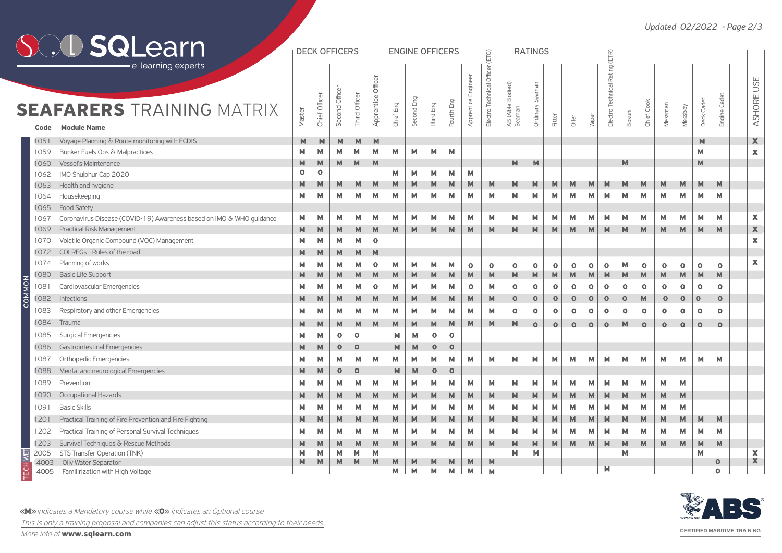|                  |                        |                        |              |                        |                        |                  | (ETR)                    |              |              |              | <b>RATINGS</b>         |                                  | <b>DECK OFFICERS</b><br><b>ENGINE OFFICERS</b><br>$\widehat{O}$<br>ίų |                        |            |              |               |                  |                         |               |                    |               |         | <b>SOL</b> earn                                                                                                  |
|------------------|------------------------|------------------------|--------------|------------------------|------------------------|------------------|--------------------------|--------------|--------------|--------------|------------------------|----------------------------------|-----------------------------------------------------------------------|------------------------|------------|--------------|---------------|------------------|-------------------------|---------------|--------------------|---------------|---------|------------------------------------------------------------------------------------------------------------------|
| ASHORE USE       | Engine Cadet           | Cadet<br>Deck          | Messboy      | Messman                | Chief Cook             | Bosun            | Electro Technical Rating | Wiper        | Oiler        | Fitter       | Seaman<br>Ordinary     | ਰ੍ਹੇ<br>AB (Able-Bodie<br>Seaman | Officer<br>Technical<br>Electro <sup>-</sup>                          | Engineer<br>Apprentice | Fourth Eng | Eng<br>Third | Eng<br>Second | Chief Eng        | Apprentice Officer      | Third Officer | ਨੋ<br>Second Offic | Chief Officer | Master  | e-learning experts<br><b>SEAFARERS TRAINING MATRIX</b><br><b>Module Name</b><br>Code                             |
| $\mathbf X$      |                        | M                      |              |                        |                        |                  |                          |              |              |              |                        |                                  |                                                                       |                        |            |              |               |                  | M                       | M             | M                  | M             | M       | Voyage Planning & Route monitoring with ECDIS<br>1051                                                            |
| $\mathbf x$      |                        | M                      |              |                        |                        |                  |                          |              |              |              |                        |                                  |                                                                       |                        | M          | М            | M             | М                | M                       | M             | M                  | M             | M       | Bunker Fuels Ops & Malpractices<br>1059                                                                          |
|                  |                        | M                      |              |                        |                        | M                |                          |              |              |              | M                      | M                                |                                                                       |                        |            |              |               |                  | M                       | M             | M                  | M             | M       | Vessel's Maintenance<br>1060                                                                                     |
|                  |                        |                        |              |                        |                        |                  |                          |              |              |              |                        |                                  |                                                                       | M                      | M          | М            | М             | М                |                         |               |                    | $\circ$       | $\circ$ | IMO Shulphur Cap 2020<br>1062                                                                                    |
|                  | M                      | M                      | M            | M                      | M                      | M                | M                        | M            | M            | M            | M                      | M                                | M                                                                     | M                      | M          | M            | M             | M                | M                       | M             | M                  | M             | M       | Health and hygiene<br>1063                                                                                       |
|                  | М                      | M                      | M            | M                      | М                      | M                | M                        | M            | M            | M            | M                      | M                                | M                                                                     | М                      | M          | М            | M             | М                | М                       | M             | M                  | M             | M       | Housekeeping<br>1064                                                                                             |
| $\mathbf x$      |                        |                        |              |                        |                        |                  |                          | M            |              |              |                        |                                  |                                                                       |                        |            |              |               |                  |                         |               | M                  | M             |         | <b>Food Safety</b><br>1065                                                                                       |
| $\mathbb X$      | М<br>M                 | M                      | M            | M                      | М                      | M                | M                        |              | M            | М            | M                      | M                                | M                                                                     | M                      | M          | М            | М             | M                | M                       | M             |                    |               | M       | Coronavirus Disease (COVID-19) Awareness based on IMO & WHO guidance<br>1067<br><b>Practical Risk Management</b> |
| $\mathbf x$      |                        | M                      | M            | M                      | M                      | M                | M                        | M            | M            | M            | M                      | M                                | M                                                                     | M                      | M          | M            | M             | M                | M<br>$\Omega$           | M<br>M        | M<br>М             | M<br>M        | M<br>M  | 1069<br>Volatile Organic Compound (VOC) Management<br>1070                                                       |
|                  |                        |                        |              |                        |                        |                  |                          |              |              |              |                        |                                  |                                                                       |                        |            |              |               |                  | M                       | M             | M                  | M             | M       | COLREGs - Rules of the road<br>1072                                                                              |
| $\mathbf x$      |                        |                        |              |                        |                        |                  |                          |              |              |              |                        |                                  |                                                                       |                        |            |              |               |                  |                         |               |                    |               |         | Planning of works<br>1074                                                                                        |
|                  | $\circ$<br>$\mathbb M$ | $\circ$<br>$\mathbb M$ | $\circ$<br>M | $\circ$<br>$\mathbb M$ | $\circ$<br>$\mathbb M$ | M<br>$\mathbb M$ | $\circ$<br>$\mathbb M$   | $\circ$<br>M | $\circ$<br>M | $\circ$<br>M | $\circ$<br>$\mathbb M$ | 0<br>$\mathbb M$                 | $\circ$<br>M                                                          | $\circ$<br>$\mathbb M$ | М<br>M     | М<br>M       | М<br>M        | М<br>$\mathbb M$ | $\Omega$<br>$\mathbb M$ | M<br>M        | M<br>M             | М<br>M        | M<br>M  | <b>Basic Life Support</b><br>1080                                                                                |
|                  | $\circ$                | $\circ$                | $\circ$      | $\circ$                | $\circ$                | $\circ$          | $\circ$                  | $\circ$      | $\Omega$     | $\circ$      | $\circ$                | $\circ$                          | M                                                                     | $\circ$                | M          | M            | М             | M                | $\circ$                 | M             | M                  | M             | M       | Cardiovascular Emergencies<br>081                                                                                |
|                  | $\mathbf 0$            | $\circ$                | $\bullet$    | $\mathbf O$            | M                      | $\mathsf{o}$     | $\circ$                  | $\circ$      | $\circ$      | $\circ$      | $\mathbf O$            | $\mathbf 0$                      | M                                                                     | M                      | M          | M            | M             | М                | M                       | M             | M                  | M             | M       | OMMO<br>Infections<br>082                                                                                        |
|                  | $\circ$                | $\circ$                | $\circ$      | $\circ$                |                        | $\circ$          | $\circ$                  | $\circ$      | $\circ$      | $\circ$      | $\circ$                | О                                | M                                                                     |                        | M          | М            |               |                  | М                       | M             | M                  |               | M       | Respiratory and other Emergencies<br>1083.                                                                       |
|                  |                        |                        |              |                        | $\circ$                |                  |                          |              |              |              |                        |                                  |                                                                       | М                      |            |              | M             | M                |                         |               |                    | M             |         | Trauma                                                                                                           |
|                  | $\circ$                | $\circ$                | $\circ$      | $\circ$                | $\circ$                | M                | $\circ$                  | $\Omega$     | $\Omega$     | $\circ$      | $\Omega$               | M                                | M                                                                     | M                      | M          | M            | M             | M                | M                       | M             | M                  | M             | M       | 1084                                                                                                             |
|                  |                        |                        |              |                        |                        |                  |                          |              |              |              |                        |                                  |                                                                       |                        | $\circ$    | $\circ$      | M             | М                |                         | $\circ$       | $\circ$            | M             | M       | <b>Surgical Emergencies</b><br>1085                                                                              |
|                  |                        |                        |              |                        |                        |                  |                          |              |              |              |                        |                                  |                                                                       |                        | $\circ$    | $\mathbf{o}$ | M             | M                |                         | $\circ$       | $\circ$            | M             | M       | <b>Gastrointestinal Emergencies</b><br>1086                                                                      |
|                  | M                      | M                      | M            | M                      | M                      | M                | M                        | M            | M            | M            | M                      | M                                | M                                                                     | М                      | M          | М            | M             | M                | M                       | M             | M                  | M             | M       | Orthopedic Emergencies<br>1087                                                                                   |
|                  |                        |                        |              |                        |                        |                  |                          |              |              |              |                        |                                  |                                                                       |                        | $\circ$    | $\mathbf 0$  | M             | M                |                         | $\mathbf 0$   | $\circ$            | M             | M       | Mental and neurological Emergencies<br>1088                                                                      |
|                  |                        |                        | M            | M                      | М                      | M                | M                        | M            | M            | м            | M                      | М                                | M                                                                     | M                      | M          | м            | м             | м                | M                       | М             | M                  | м             | M       | Prevention<br>1089                                                                                               |
|                  |                        |                        | M            | M                      | M                      | M                | M                        | M            | M            | М            | M                      | M                                | M                                                                     | M                      | M          | M            | M             | M                | M                       | M             | M                  | M             | M       | <b>Occupational Hazards</b><br>1090                                                                              |
|                  |                        |                        | M            | M                      | М                      | M                | M                        | M            | M            | М            | M                      | М                                | M                                                                     | М                      | M          | М            | М             | М                | M                       | М             | M                  | М             | M       | <b>Basic Skills</b><br>1091                                                                                      |
|                  | M                      | M                      | M            | M                      | M                      | M                | M                        | M            | M            | M            | М                      | M                                | M                                                                     | M                      | M          | M            | M             | M                | M                       | M             | M                  | M             | M       | Practical Training of Fire Prevention and Fire Fighting<br>1201                                                  |
|                  | М                      | M                      | M            | M                      | М                      | M                | M                        | M            | M            | М            | M                      | M                                | M                                                                     | M                      | M          | M            | м             | M                | M                       | M             | M                  | М             | M       | Practical Training of Personal Survival Techniques<br>1202                                                       |
|                  | M                      | M                      | M            | M                      | M                      | M                | M                        | M            | M            | M            | M                      | M                                | M                                                                     | M                      | M          | M            | M             | M                | M                       | M             | M                  | M             | M       | Survival Techniques & Rescue Methods<br>1203                                                                     |
| $\mathbf x$<br>X | $\circ$                | M                      |              |                        |                        | М                |                          |              |              |              | M                      | M                                | M                                                                     |                        |            |              |               |                  | M                       | М<br>M        | M                  | M             | М<br>M  | <b>Isl</b><br>STS Transfer Operation (TNK)<br>2005                                                               |
|                  | $\circ$                |                        |              |                        |                        |                  | M                        |              |              |              |                        |                                  |                                                                       | M<br>M                 | M<br>M     | M<br>М       | M<br>M        | M<br>М           | M                       |               | M                  | M             |         | Oily Water Separator<br>4003                                                                                     |
|                  |                        |                        |              |                        |                        |                  |                          |              |              |              |                        |                                  | M                                                                     |                        |            |              |               |                  |                         |               |                    |               |         | TECH<br>Familirization with High Voltage<br>4005                                                                 |

**«M** > indicates a Mandatory course while **<0** > indicates an Optional course.

This is only a training proposal and companies can adjust this status according to their needs.

More info at **www.sqlearn.com**